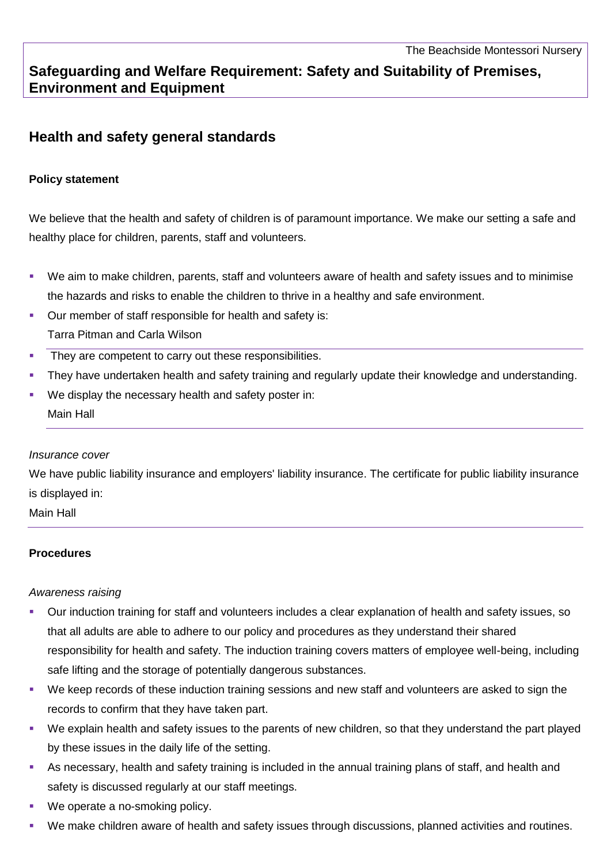# **Safeguarding and Welfare Requirement: Safety and Suitability of Premises, Environment and Equipment**

# **Health and safety general standards**

### **Policy statement**

We believe that the health and safety of children is of paramount importance. We make our setting a safe and healthy place for children, parents, staff and volunteers.

- We aim to make children, parents, staff and volunteers aware of health and safety issues and to minimise the hazards and risks to enable the children to thrive in a healthy and safe environment.
- Our member of staff responsible for health and safety is: Tarra Pitman and Carla Wilson
- They are competent to carry out these responsibilities.
- They have undertaken health and safety training and regularly update their knowledge and understanding.
- We display the necessary health and safety poster in: Main Hall

#### *Insurance cover*

We have public liability insurance and employers' liability insurance. The certificate for public liability insurance is displayed in:

#### Main Hall

#### **Procedures**

#### *Awareness raising*

- Our induction training for staff and volunteers includes a clear explanation of health and safety issues, so that all adults are able to adhere to our policy and procedures as they understand their shared responsibility for health and safety. The induction training covers matters of employee well-being, including safe lifting and the storage of potentially dangerous substances.
- We keep records of these induction training sessions and new staff and volunteers are asked to sign the records to confirm that they have taken part.
- We explain health and safety issues to the parents of new children, so that they understand the part played by these issues in the daily life of the setting.
- As necessary, health and safety training is included in the annual training plans of staff, and health and safety is discussed regularly at our staff meetings.
- We operate a no-smoking policy.
- We make children aware of health and safety issues through discussions, planned activities and routines.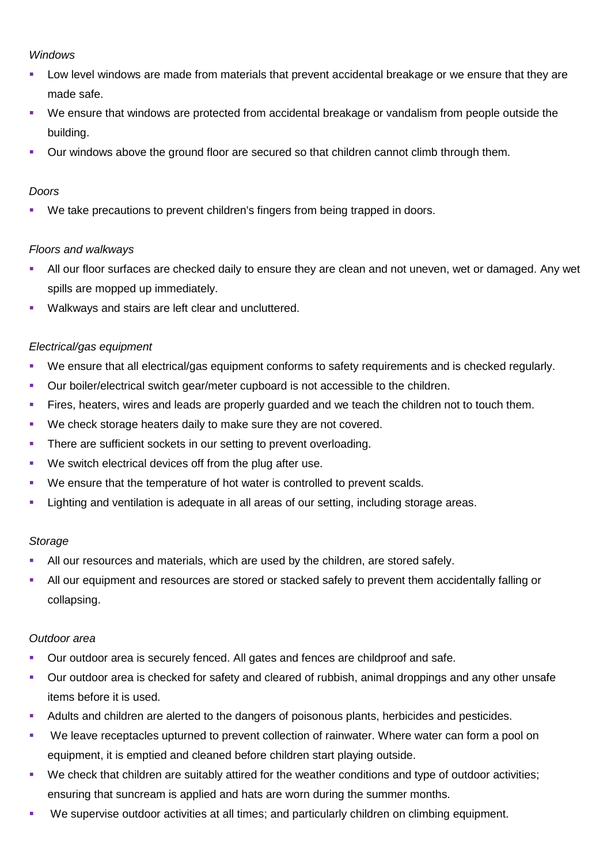## *Windows*

- Low level windows are made from materials that prevent accidental breakage or we ensure that they are made safe.
- We ensure that windows are protected from accidental breakage or vandalism from people outside the building.
- Our windows above the ground floor are secured so that children cannot climb through them.

### *Doors*

We take precautions to prevent children's fingers from being trapped in doors.

## *Floors and walkways*

- All our floor surfaces are checked daily to ensure they are clean and not uneven, wet or damaged. Any wet spills are mopped up immediately.
- Walkways and stairs are left clear and uncluttered.

### *Electrical/gas equipment*

- We ensure that all electrical/gas equipment conforms to safety requirements and is checked regularly.
- **•** Our boiler/electrical switch gear/meter cupboard is not accessible to the children.
- Fires, heaters, wires and leads are properly guarded and we teach the children not to touch them.
- We check storage heaters daily to make sure they are not covered.
- **There are sufficient sockets in our setting to prevent overloading.**
- We switch electrical devices off from the plug after use.
- We ensure that the temperature of hot water is controlled to prevent scalds.
- Lighting and ventilation is adequate in all areas of our setting, including storage areas.

### *Storage*

- All our resources and materials, which are used by the children, are stored safely.
- All our equipment and resources are stored or stacked safely to prevent them accidentally falling or collapsing.

### *Outdoor area*

- Our outdoor area is securely fenced. All gates and fences are childproof and safe.
- Our outdoor area is checked for safety and cleared of rubbish, animal droppings and any other unsafe items before it is used.
- Adults and children are alerted to the dangers of poisonous plants, herbicides and pesticides.
- We leave receptacles upturned to prevent collection of rainwater. Where water can form a pool on equipment, it is emptied and cleaned before children start playing outside.
- We check that children are suitably attired for the weather conditions and type of outdoor activities; ensuring that suncream is applied and hats are worn during the summer months.
- We supervise outdoor activities at all times; and particularly children on climbing equipment.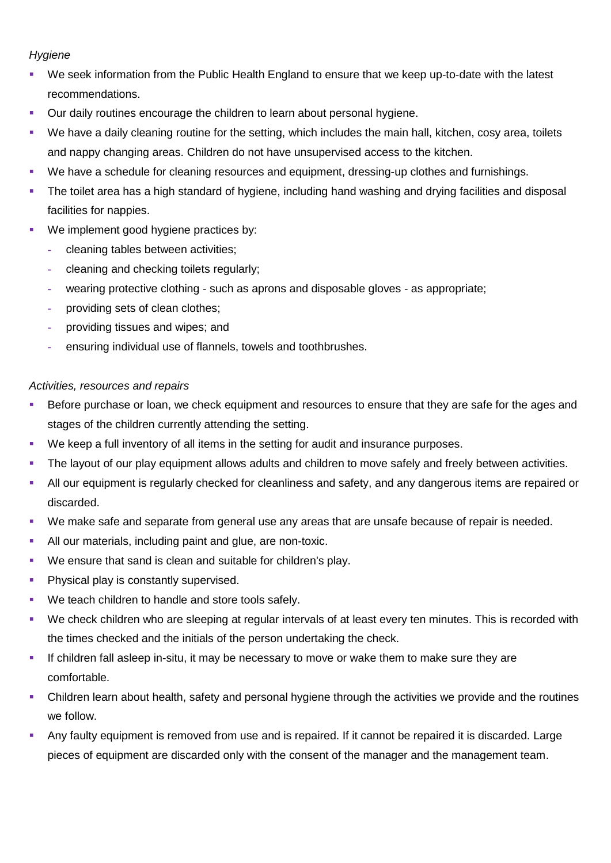## *Hygiene*

- We seek information from the Public Health England to ensure that we keep up-to-date with the latest recommendations.
- Our daily routines encourage the children to learn about personal hygiene.
- We have a daily cleaning routine for the setting, which includes the main hall, kitchen, cosy area, toilets and nappy changing areas. Children do not have unsupervised access to the kitchen.
- We have a schedule for cleaning resources and equipment, dressing-up clothes and furnishings.
- The toilet area has a high standard of hygiene, including hand washing and drying facilities and disposal facilities for nappies.
- We implement good hygiene practices by:
	- **-** cleaning tables between activities;
	- **-** cleaning and checking toilets regularly;
	- **-** wearing protective clothing such as aprons and disposable gloves as appropriate;
	- **-** providing sets of clean clothes;
	- **-** providing tissues and wipes; and
	- **-** ensuring individual use of flannels, towels and toothbrushes.

### *Activities, resources and repairs*

- Before purchase or loan, we check equipment and resources to ensure that they are safe for the ages and stages of the children currently attending the setting.
- We keep a full inventory of all items in the setting for audit and insurance purposes.
- The layout of our play equipment allows adults and children to move safely and freely between activities.
- All our equipment is regularly checked for cleanliness and safety, and any dangerous items are repaired or discarded.
- We make safe and separate from general use any areas that are unsafe because of repair is needed.
- All our materials, including paint and glue, are non-toxic.
- We ensure that sand is clean and suitable for children's play.
- **Physical play is constantly supervised.**
- We teach children to handle and store tools safely.
- We check children who are sleeping at regular intervals of at least every ten minutes. This is recorded with the times checked and the initials of the person undertaking the check.
- If children fall asleep in-situ, it may be necessary to move or wake them to make sure they are comfortable.
- Children learn about health, safety and personal hygiene through the activities we provide and the routines we follow.
- Any faulty equipment is removed from use and is repaired. If it cannot be repaired it is discarded. Large pieces of equipment are discarded only with the consent of the manager and the management team.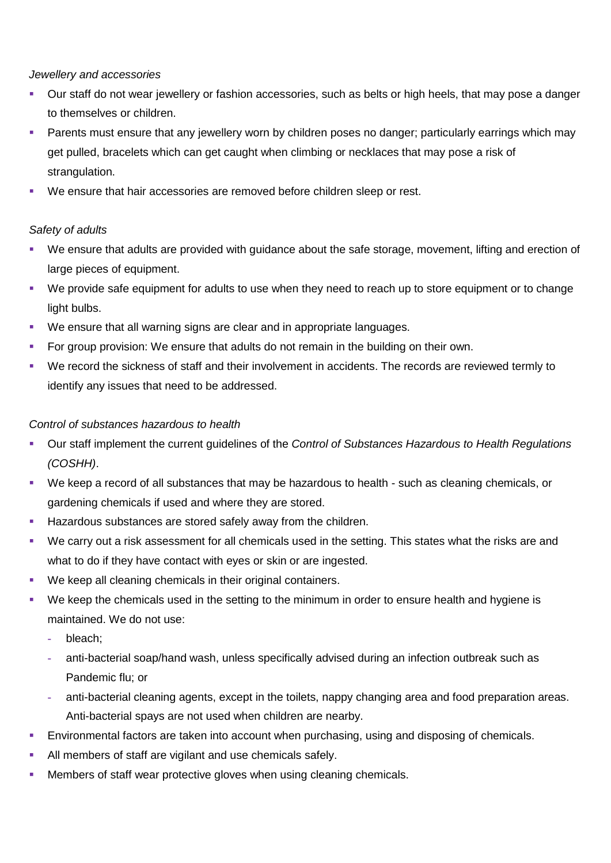### *Jewellery and accessories*

- Our staff do not wear jewellery or fashion accessories, such as belts or high heels, that may pose a danger to themselves or children.
- Parents must ensure that any jewellery worn by children poses no danger; particularly earrings which may get pulled, bracelets which can get caught when climbing or necklaces that may pose a risk of strangulation.
- We ensure that hair accessories are removed before children sleep or rest.

### *Safety of adults*

- We ensure that adults are provided with guidance about the safe storage, movement, lifting and erection of large pieces of equipment.
- We provide safe equipment for adults to use when they need to reach up to store equipment or to change light bulbs.
- We ensure that all warning signs are clear and in appropriate languages.
- For group provision: We ensure that adults do not remain in the building on their own.
- We record the sickness of staff and their involvement in accidents. The records are reviewed termly to identify any issues that need to be addressed.

## *Control of substances hazardous to health*

- Our staff implement the current guidelines of the *Control of Substances Hazardous to Health Regulations (COSHH)*.
- We keep a record of all substances that may be hazardous to health such as cleaning chemicals, or gardening chemicals if used and where they are stored.
- Hazardous substances are stored safely away from the children.
- We carry out a risk assessment for all chemicals used in the setting. This states what the risks are and what to do if they have contact with eyes or skin or are ingested.
- We keep all cleaning chemicals in their original containers.
- We keep the chemicals used in the setting to the minimum in order to ensure health and hygiene is maintained. We do not use:
	- **-** bleach;
	- **-** anti-bacterial soap/hand wash, unless specifically advised during an infection outbreak such as Pandemic flu; or
	- **-** anti-bacterial cleaning agents, except in the toilets, nappy changing area and food preparation areas. Anti-bacterial spays are not used when children are nearby.
- Environmental factors are taken into account when purchasing, using and disposing of chemicals.
- All members of staff are vigilant and use chemicals safely.
- Members of staff wear protective gloves when using cleaning chemicals.